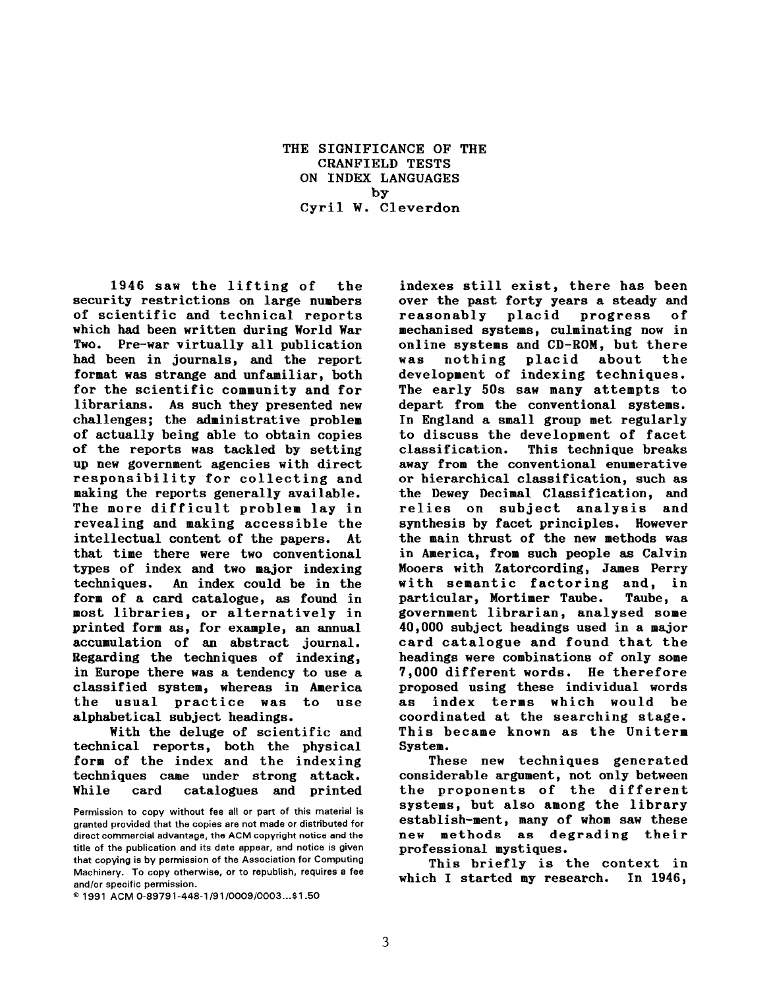THE SIGNIFICANCE OF THE CRANFIELD TESTS ON INDEX LANGUAGES by Cyril W. Cleverdon

1946 saw the lifting of the security restrictions on large numbers of scientific and technical reports which had been written during World War Two. Pre-war virtually all publication had been in journals, and the report format was strange and unfamiliar, both for the scientific community and for librarians. As such they presented new challenges; the administrative problem of actually being able to obtain copies of the reports was tackled by setting up new government agencies with direct responsibility for collecting and making the reports generally available. The more difficult problem lay in revealing and making accessible the intellectual content of the papers. At that time there were two conventional types of index and two major indexing techniques. An index could be in the form of a card catalogue, as found in most libraries, or alternatively in printed form as, for example, an annual accumulation of an abstract journal. Regarding the techniques of indexing, in Europe there was a tendency to use a classified system, whereas in America the usual practice was to use alphabetical subject headings.

With the deluge of scientific and technical reports, both the physical form of the index and the indexing techniques came under strong attack. While card catalogues and printed

@ 1991 ACM O-89791-448-11911000910003...\$1 .50

indexes still exist, there has been over the past forty years a steady and reasonably placid progress of ❑echanised systems, culminating now in online systems and CD-ROM, but there was nothing placid about the development of indexing techniques. The early 50s saw many attempts to depart from the conventional systems. In England a small group met regularly to discuss the development of facet classification. This technique breaks away from the conventional enumerative or hierarchical classification, such as the Dewey Decimal Classification, and relies on subject analysis and synthesis by facet principles. However the main thrust of the new methods was in America, from such people as Calvin Mooers with Zatorcording, James Perry with semantic factoring and, in particular, Mortimer Taube. Taube, a government librarian, analysed some 40,000 subject headings used in a major card catalogue and found that the headings were combinations of only some 7,000 different words. He therefore proposed using these individual words as index terms which would be coordinated at the searching stage. This became known as the Uniterm System.

These new techniques generated considerable argument, not only between the proponents of the different systems, but also among the library establish-ment, many of whom saw these new methods as degrading their professional mystiques.

This briefly is the context in which I started my research. In 1946,

Permission to copy without fee all or part of this material is granted provided that the copies are not made or distributed for direct commercial advantage, the ACM copyright notice and the title of the publication and its date appear, and notice is given that copying is by permission of the Association for Computing Machinery. To copy otherwise, or to republish, requires a fee and/or specific permission.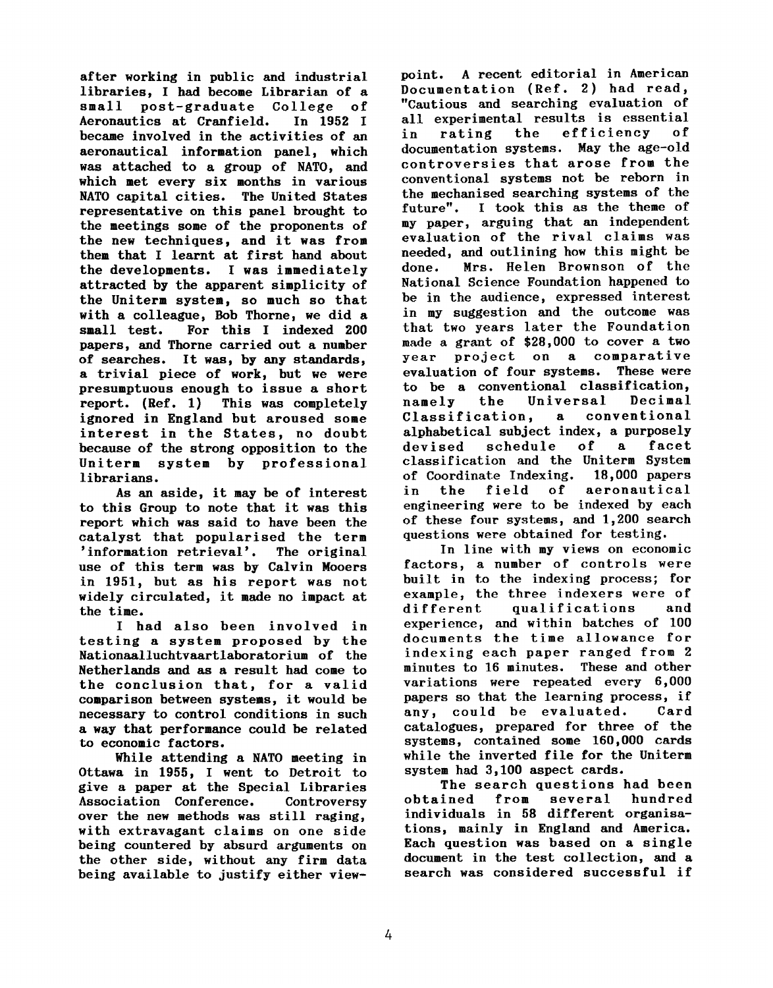after working in public and industrial libraries, I had become Librarian of a small post-graduate College of Aeronautics at Cranfield. became involved in the activities of an aeronautical information panel, which was attached to a group of NATO, and which met every six months in various NATO capital cities. The United States representative on this panel brought to the meetings some of the proponents of the new techniques, and it was from them that I learnt at first hand about the developments. I was immediately attracted by the apparent simplicity of the Uniterm system, so much so that with a colleague, Bob Thorne, we did a small test. For this I indexed 200 papers, and Thorne carried out a number of searches. It was, by any standards, a trivial piece of work, but we were presumptuous enough to issue a short report. (Ref. 1) This was completely ignored in England but aroused some interest in the States, no doubt because of the strong opposition to the Uniterm system by professional librarians.

As an aside, it may be of interest to this Group to note that it was this report which was said to have been the catalyst that popularised the term 'information retrieval'. The original use of this term was by Calvin Mooers in 1951, but as his report was not widely circulated, it made no impact at the time.

I had also been involved in testing a system proposed by the Nationaalluchtvaartlaboratorium of the Netherlands and as a result had come to the conclusion that, for a valid comparison between systems, it would be necessary to control conditions in such a way that performance could be related to economic factors.

While attending a NATO meeting in Ottawa in 1955, I went to Detroit to give a paper at the Special Libraries Association Conference. Controversy over the new methods was still raging, with extravagant claims on one side being countered by absurd arguments on the other side, without any firm data being available to justify either viewpoint. A recent editorial in American Documentation (Ref. 2) had read, "Cautious and searching evaluation of all experimental results is essential<br>in rating the efficiency of in rating the efficiency of documentation systems. May the age-old controversies that arose from the conventional systems not be reborn in the mechanised searching systems of the future". I took this as the theme of my paper, arguing that an independent evaluation of the rival claims was needed, and outlining how this might be<br>done. Mrs. Helen Brownson of the Mrs. Helen Brownson of the National Science Foundation happened to be in the audience, expressed interest in my suggestion and the outcome was that two years later the Foundation made a grant of \$28,000 to cover a two year project on a comparative evaluation of four systems. to be a conventional classification, Universal Decimal<br>, a conventional Classification, alphabetical subject index, a purposely devised schedule of a fac classification and the Uniterm System of Coordinate Indexing. 18,000 papers in the field of aeronau engineering were to be indexed by each of these four systems, and 1,200 search questions were obtained for testing.

In line with my views on economic factors, a number of controls were built in to the indexing process; for example, the three indexers were of<br>different qualifications and different qualifications and experience, and within batches of 100 documents the time allowance for indexing each paper ranged from 2 minutes to 16 minutes. These and other variations were repeated every 6,000 papers so that the learning process, if<br>any, could be evaluated. Card any, could be evaluated. catalogues, prepared for three of the systems, contained some 160,000 cards while the inverted file for the Uniterm system had 3,100 aspect cards.

The search questions had been<br>ined from several hundred obtained individuals in 58 different organisations, mainly in England and America. Each question was based on a single document in the test collection, and a search was considered successful if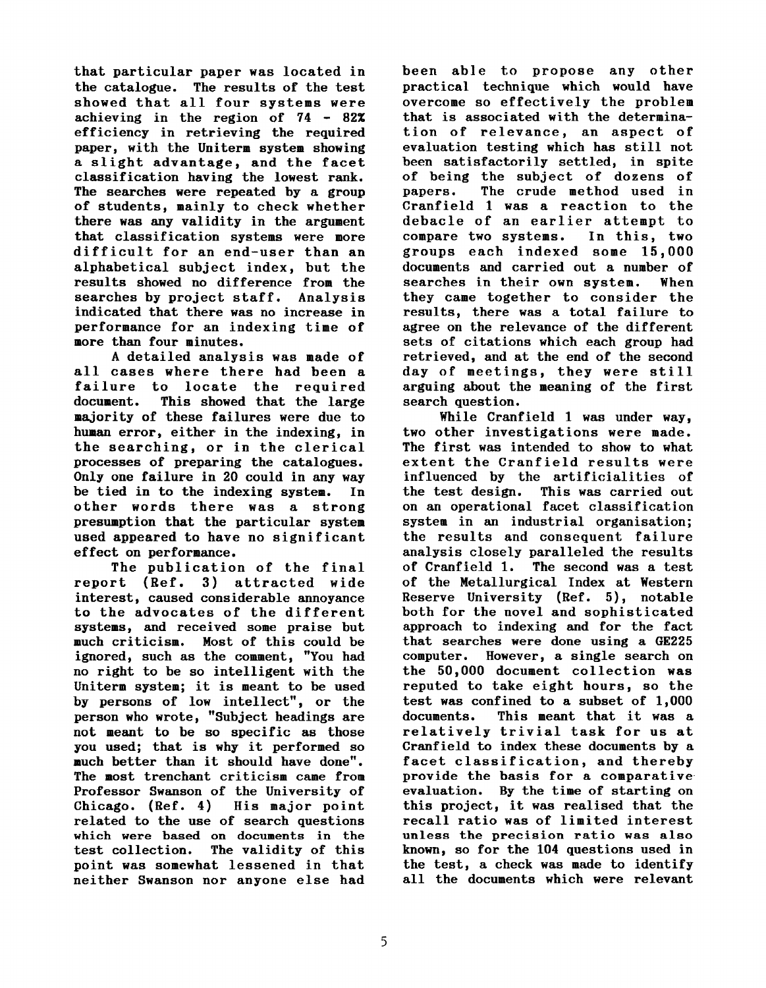that particular paper was located in the catalogue. The results of the test showed that all four systems were achieving in the region of 74 - 82% efficiency in retrieving the required paper, with the Uniterm system showing a slight advantage, and the facet classification having the lowest rank. The searches were repeated by a group of students, mainly to check whether there was any validity in the argument that classification systems were more difficult for an end-user than an alphabetical subject index, but the results showed no difference from the searches by project staff. Analysis indicated that there was no increase in performance for an indexing time of more than four minutes.

A detailed analysis was made of all cases where there had been a failure to locate the required document. This showed that the large majority of these failures were due to human error, either in the indexing, in the searching, or in the clerical processes of preparing the catalogues. Only one failure in 20 could in any way be tied in to the indexing system. In other words there was a strong presumption that the particular system used appeared to have no significant effect on performance.

The publication of the final report (Ref. 3) attracted wide interest, caused considerable annoyance to the advocates of the different systems, and received some praise but much criticism. Most of this could be ignored, such as the comment, \*'You had no right to be so intelligent with the Uniterm system; it is meant to be used by persons of low intellect", or the person who wrote, "Subject headings are not meant to be so specific as those you used; that is why it performed so much better than it should have done". The most trenchant criticism came from Professor Swanson of the University of Chicago. (Ref. 4) His major point related to the use of search questions which were based on documents in the test collection. The validity of this point was somewhat lessened in that neither Swanson nor anyone else had been able to propose any other practical technique which would have overcome so effectively the problem that is associated with the determination of relevance, an aspect of evaluation testing which has still not been satisfactorily settled, in spite of being the subject of dozens of papers. The crude method used in Cranfield 1 was a reaction to the debacle of an earlier attempt to compare two systems. In this, two groups each indexed some 15,000 documents and carried out a number of searches in their own system. When they came together to consider the results, there was a total failure to agree on the relevance of the different sets of citations which each group had retrieved, and at the end of the second day of meetings, they were still arguing about the meaning of the first search question.

While Cranfield 1 was under way, two other investigations were made. The first was intended to show to what extent the Cranfield results were influenced by the artificialities of the test design. This was carried out on an operational facet classification system in an industrial organisation; the results and consequent failure analysis closely paralleled the results of Cranfield 1. The second was a test of the Metallurgical Index at Western Reserve University (Ref. 5), notable both for the novel and sophisticated approach to indexing and for the fact that searches were done using a GE225 computer. However, a single search on the 50,000 document collection was reputed to take eight hours, so the test was confined to a subset of 1,000 documents. This meant that it was a relatively trivial task for us at Cranfield to index these documents by a facet classification, and thereby provide the basis for a comparative evaluation. By the time of starting on this project, it was realised that the recall ratio was of limited interest unless the precision ratio was also known, so for the 104 questions used in the test, a check was made to identify all the documents which were relevant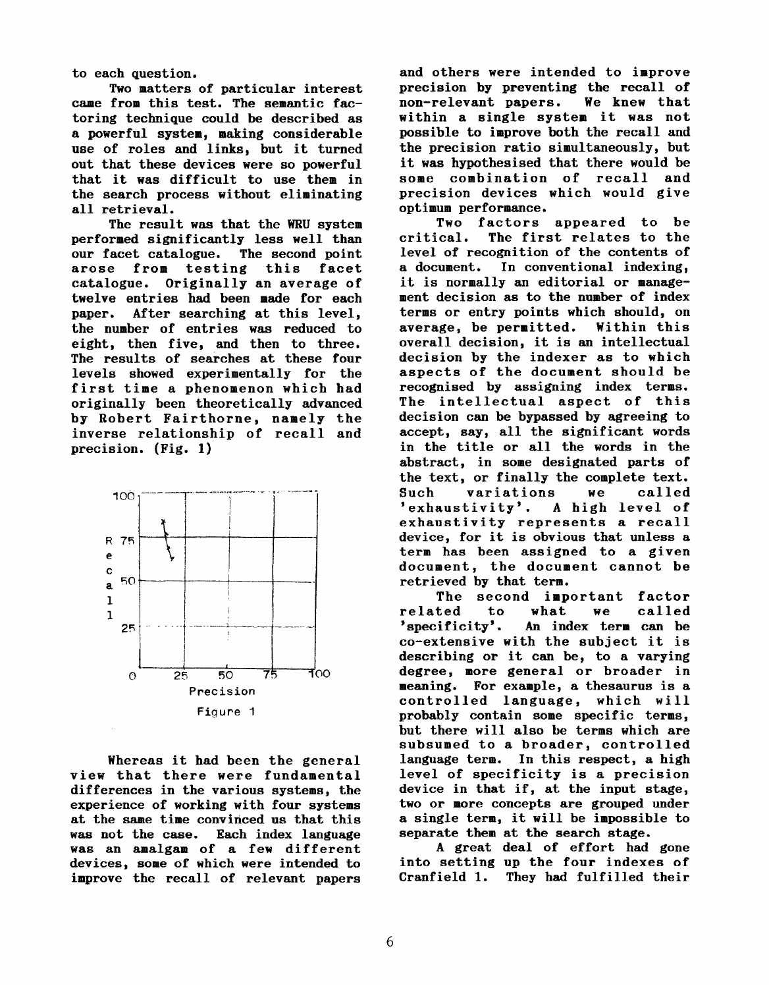to each question.

Two matters of particular interest came from this test. The semantic factoring technique could be described as a powerful system, making considerable use of roles and links, but it turned out that these devices were so powerful that it was difficult to use them in the search process without eliminating all retrieval.

The result was that the WRU system performed significantly less well than our facet catalogue. The second point arose from testing this facet catalogue. Originally an average of twelve entries had been made for each paper. After searching at this level, the number of entries was reduced to eight, then five, and then to three. The results of searches at these four levels showed experimentally for the first time a phenomenon which had originally been theoretically advanced by Robert Fairthorne, namely the inverse relationship of recall and precision. (Fig. 1)



Whereas it had been the general view that there were fundamental differences in the various systems, the experience of working with four systems at the same time convinced us that this was not the case. Each index language was an amalgam of a few different devices, some of which were intended to improve the recall of relevant papers

and others were intended to improve precision by preventing the recall of non-relevant papers. We knew that within a single system it was not possible to improve both the recall and the precision ratio simultaneously, but it was hypothesised that there would be some combination of recall and precision devices which would give optimum performance.

Two factors appeared to be critical. The first relates to the level of recognition of the contents of a document. In conventional indexing, it is normally an editorial or management decision as to the number of index terms or entry points which should, on average, be permitted. Within this overall decision, it is an intellectual decision by the indexer as to which aspects of the document should be recognised by assigning index terms. The intellectual aspect of this decision can be bypassed by agreeing to accept, say, all the significant words in the title or all the words in the abstract, in some designated parts of the text, or finally the complete text. Such variations we called<br>'exhaustivity'. A high-level of 'exhaustivity'. exhaustivity represents a recall device, for it is obvious that unless a term has been assigned to a given document, the document cannot be retrieved by that term.

The second important factor related to what we called 'specificity'. An index term can be co-extensive with the subject it is describing or it can be, to a varying degree, more general or broader in meaning. For example, a thesaurus is a controlled language, which will probably contain some specific terms, but there will also be terms which are subsumed to a broader, controlled language term. In this respect, a high level of specificity is a precision device in that if, at the input stage, two or more concepts are grouped under a single term, it will be impossible to separate them at the search stage.

A great deal of effort had gone into setting up the four indexes of Cranfield 1. They had fulfilled their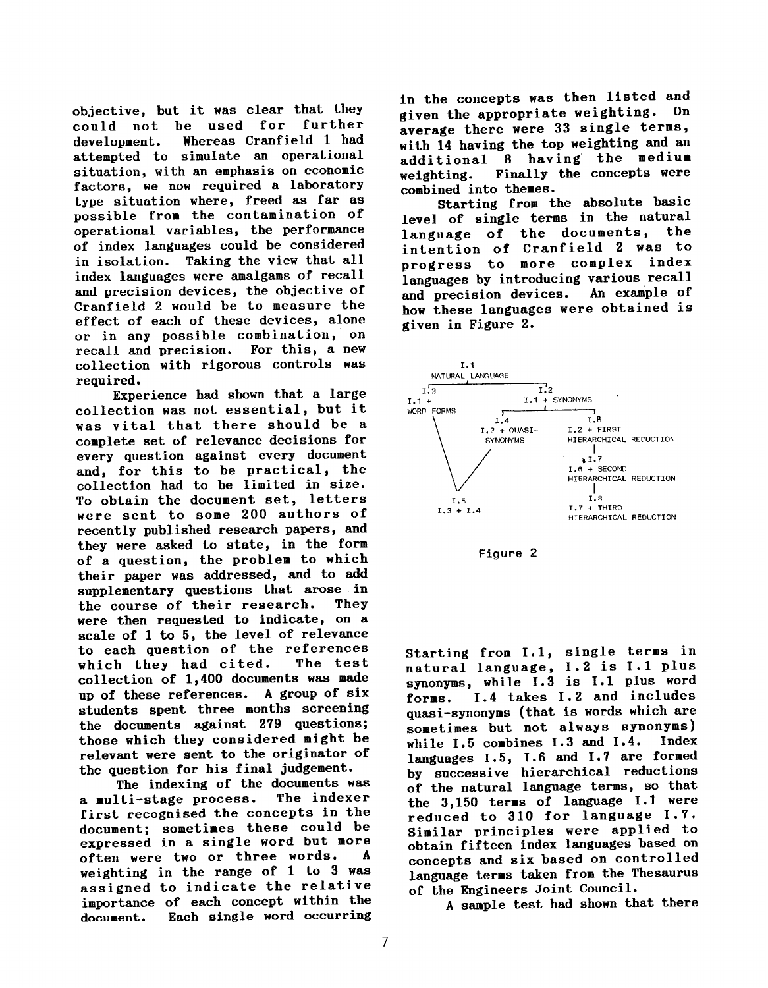objective, but it was clear that they could not be used for further development. Whereas Cranfield 1 had attempted to simulate an operational situation, with an emphasis on economic factors, we now required a laboratory type situation where, freed as far as possible from the contamination of operational variables, the performance of index languages could be considered in isolation. Taking the view that all index languages were amalgams of recall and precision devices, the objective of Cranfield 2 would be to measure the effect of each of these devices, alone or in any possible combination, on recall and precision. For this, a new collection with rigorous controls was required.

Experience had shown that a large collection was not essential, but it was vital that there should be a complete set of relevance decisions for every question against every document and, for this to be practical, the collection had to be limited in size. To obtain the document set, letters were sent to some 200 authors of recently published research papers, and they were asked to state, in the form of a question, the problem to which their paper was addressed, and to add supplementary questions that arose in<br>the course of their research. They the course of their research. were then requested to indicate, on a scale of 1 to 5, the level of relevance to each question of the references which they had cited. The test collection of 1,400 documents was made up of these references. A group of six students spent three months screening the documents against 279 questions; those which they considered might be relevant were sent to the originator of the question for his final judgement.

The indexing of the documents was a multi-stage process. The indexer first recognised the concepts in the document; sometimes these could be expressed in a single word but more often were two or three words. A weighting in the range of 1 to 3 was assigned to indicate the relative importance of each concept within the document. Each single word occurring in the concepts was then listed and<br>
siyon the appropriate weighting. On given the appropriate weighting. average there were 33 single terms. with 14 having the top weighting and an additional 8 having the medium weighting. Finally the concepts were combined into themes.

Starting from the absolute basic level of single terms in the natural<br>language of the documents, the language of the documents, intention of Cranfield 2 was to progress to more complex index languages by introducing various recall<br>and precision devices. An example of and precision devices. how these languages were obtained is given in Figure 2.





Starting from 1.1, single terms in natural language, 1.2 is I.1 PIUS synonyms, while 1.3 is 1.1 plus word forms. 1.4 takes 1.2 and includes quasi-synonyms (that is words which are sometimes but not always synonyms)<br>while L.5 combines L.3 and L.4. Index while  $1.5$  combines  $1.3$  and  $1.4$ . languages 1.5, 1.6 and 1.7 are formed by successive hierarchical reductions of the natural language terms, so that the 3,150 terms of language 1.1 were reduced to 310 for language 1.7. Similar principles were applied to obtain fifteen index languages based on concepts and six based on controlled language terms taken from the Thesaurus of the Engineers Joint Council.

A sample test, had shown that there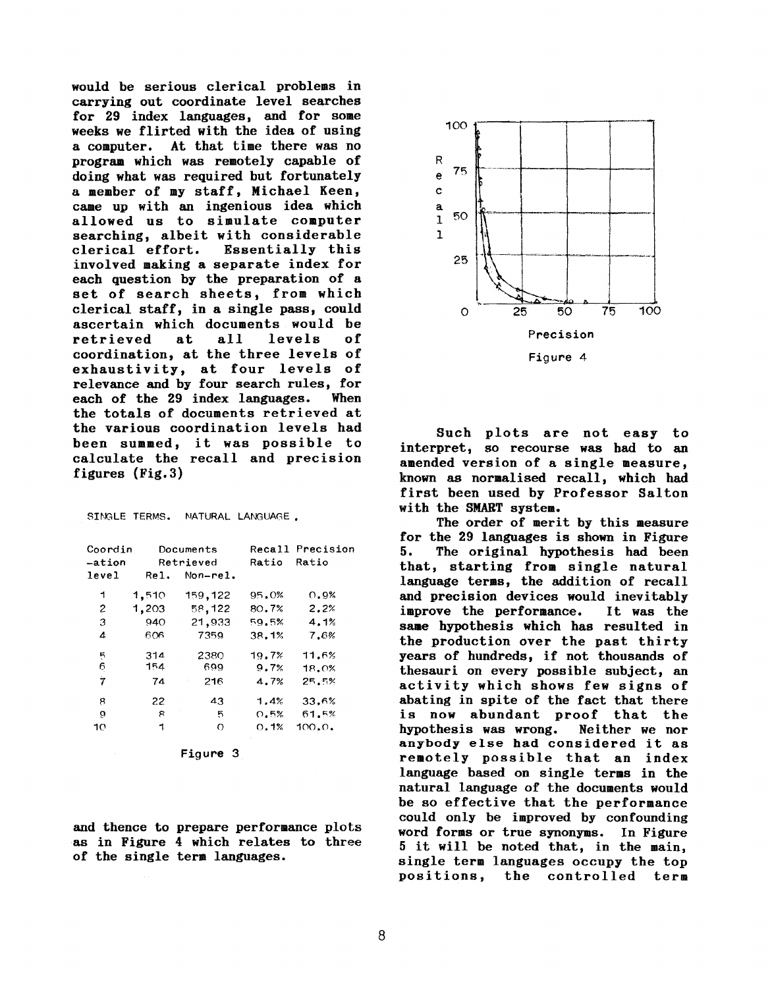would be serious clerical problems in carrying out coordinate level searches for 29 index languages, and for some weeks we flirted with the idea of using a computer. At that time there was no program which was remotely capable of doing what was required but fortunately a member of my staff, Michael Keen, came up with an ingenious idea which allowed us to simulate computer searching, albeit with considerable clerical effort. Essentially this involved making a separate index for each question by the preparation of a set of search sheets, from which clerical staff, in a single pass, could ascertain which documents would be retrieved at all levels of coordination, at the three levels of exhaustivity, at four levels of relevance and by four search rules, for each of the 29 index languages. When the totals of documents retrieved at the various coordination levels had been summed, it was possible to calculate the recall and precision figures (Fig.3)

| SINGLE TERMS. |  | NATURAL LANGUAGE. |
|---------------|--|-------------------|
|               |  |                   |

| Coordin<br>-ation |       | Documents<br>Retrieved | Recall<br>Ratio | Precision<br>Ratio |
|-------------------|-------|------------------------|-----------------|--------------------|
| level             | Rel.  | $Non-rel.$             |                 |                    |
| 1                 | 1,510 | 159,122                | 95.0%           | 0.9%               |
| 2                 | 1,203 | 58,122                 | 80.7%           | 2.2%               |
| 3                 | 940   | 21,933                 | 59.5%           | 4.1%               |
| 4                 | 606   | 7359                   | 38.1%           | 7.6%               |
|                   | 314   | 2380                   | 19.7%           | 11.6%              |
| $\frac{5}{6}$     | 154   | 699                    | 9.7%            | 18.0%              |
| Ż                 | 74    | 216                    | 4.7%            | 25.5%              |
| 8                 | 22    | 43                     | 1.4%            | 33.6%              |
| 9                 | я     | 5                      | 0.5%            | 61.5%              |
| 10                | 1     | O                      | 0.1%            | 100.0.             |

Figure 3

and thence to prepare performance plots as in Figure 4 which relates to three of the single term languages.



Such plots are not easy to interpret, so recourse was had to an amended version of a single measure, known as normalised recall, which had first been used by Professor Salton with the SMART system.

The order of merit by this measure for the 29 languages is shown in Figure 5. The original hypothesis had been that, starting from single natural language terms, the addition of recall and precision devices would inevitably improve the performance. It was the same hypothesis which has resulted in the production over the past thirty years of hundreds, if not thousands of thesauri on every possible subject, an activity which shows few signs of abating in spite of the fact that there is now abundant proof that the hypothesis was wrong. Neither we nor anybody else had considered it as remotely possible that an index language based on single terms in the natural language of the documents would be so effective that the performance could only be improved by confounding word forms or true synonyms. In Figure 5 it will be noted that, in the main, single term languages occupy the top positions, the controlled term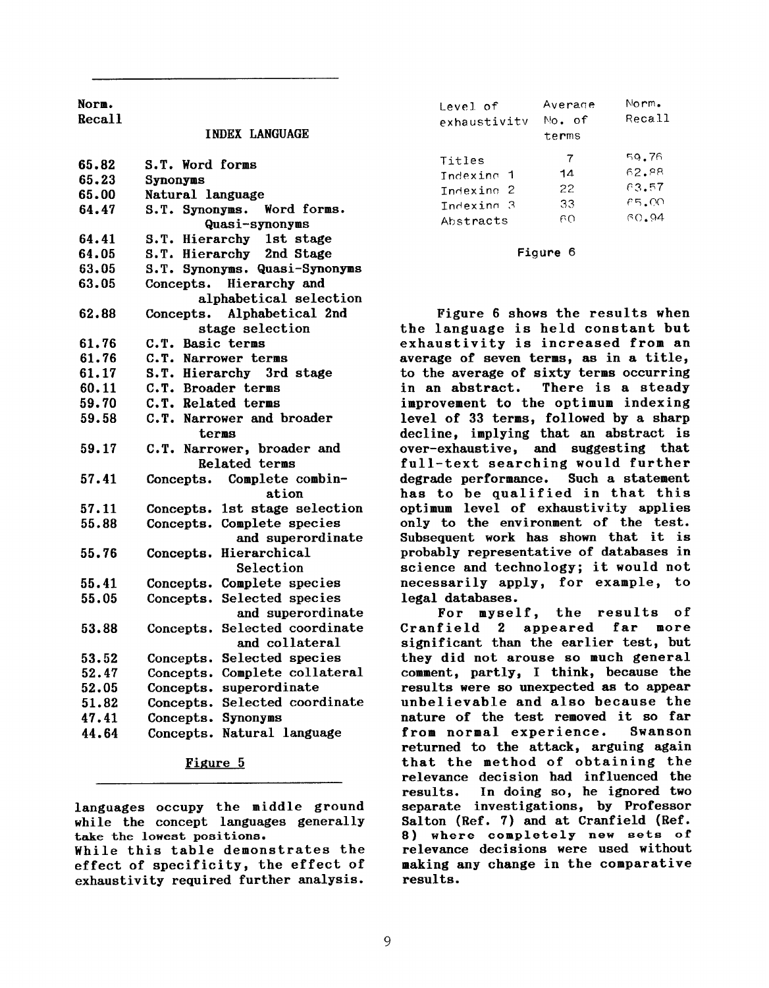Norm.

Recall

## INBEX LANGUAGE

| 65.82 | S.T. Word forms                  |
|-------|----------------------------------|
| 65.23 | Synonyms                         |
| 65.00 | Natural language                 |
| 64.47 | S.T. Synonyms. Word forms.       |
|       | Quasi-synonyms                   |
| 64.41 | S.T. Hierarchy 1st stage         |
| 64.05 | S.T. Hierarchy 2nd Stage         |
| 63.05 | S.T. Synonyms. Quasi-Synonyms    |
| 63.05 | Concepts. Hierarchy and          |
|       | alphabetical selection           |
| 62.88 | Concepts. Alphabetical 2nd       |
|       | stage selection                  |
| 61.76 | C.T. Basic terms                 |
| 61.76 | C.T. Narrower terms              |
| 61.17 | S.T. Hierarchy 3rd stage         |
| 60.11 | C.T. Broader terms               |
| 59.70 | C.T. Related terms               |
| 59.58 | C.T. Narrower and broader        |
|       | terms                            |
| 59.17 | C.T. Narrower, broader and       |
|       | <b>Related terms</b>             |
| 57.41 | Concepts. Complete combin-       |
|       | ation                            |
| 57.11 | 1st stage selection<br>Concepts. |
| 55.88 | Complete species<br>Concepts.    |
|       | and superordinate                |
| 55.76 | Hierarchical<br>Concepts.        |
|       | Selection                        |
| 55.41 | Complete species<br>Concepts.    |
| 55.05 | Selected species<br>Concepts.    |
|       | and superordinate                |
| 53.88 | Selected coordinate<br>Concepts. |
|       | and collateral                   |
| 53.52 | Selected species<br>Concepts.    |
| 52.47 | Complete collateral<br>Concepts. |
| 52.05 | superordinate<br>Concepts.       |
| 51.82 | Selected coordinate<br>Concepts. |
| 47.41 | Concepts.<br>Synonyms            |
| 44.64 | Natural language<br>Concepts.    |
|       |                                  |

## Figure 5

languages occupy the middle ground while the concept languages generally take the lowest positions.

While this table demonstrates the effect of specificity, the effect of exhaustivity required further analysis.

| Level of<br>exhaustivity | Averade<br>No. of<br>terms | Norm.<br>Recall |
|--------------------------|----------------------------|-----------------|
| Titles                   | $\overline{7}$             | 59.76           |
| Indexing 1               | 14                         | 62.88           |
| Indexing <sub>2</sub>    | 22                         | 63.57           |
| Indexing 3               | 33                         | 65.00           |
| Abstracts                | റെ                         | 60.94           |

## Figure 6

Figure 6 shows the results when the language is held constant but exhaustivity is increased from an average of seven terms, as in a title, to the average of sixty terms occurring in an abstract. There is a steady improvement to the optimum indexing level of 33 terms, followed by a sharp decline, implying that an abstract is over-exhaustive, and suggesting that full-text searching would further degrade performance. Such a statement has to be qualified in that this optimum level of exhaustivity applies only to the environment of the test. Subsequent work has shown that it is probably representative of databases in science and technology; it would not necessarily apply, for example, to legal databases.

For myself, the results of<br>field 2 appeared far more Cranfield 2 appeared far significant than the earlier test, but they did not arouse so much general comment, partly, I think, because the results were so unexpected as to appear unbelievable and also because the nature of the test removed it so far from normal experience. Swanson returned to the attack, arguing again that the method of obtaining the relevance decision had influenced the results. In doing so, he ignored two separate investigations, by Professor Salton (Ref. 7) and at Cranfield (Ref. 8) where completely new sets of relevance decisions were used without making any change in the comparative results.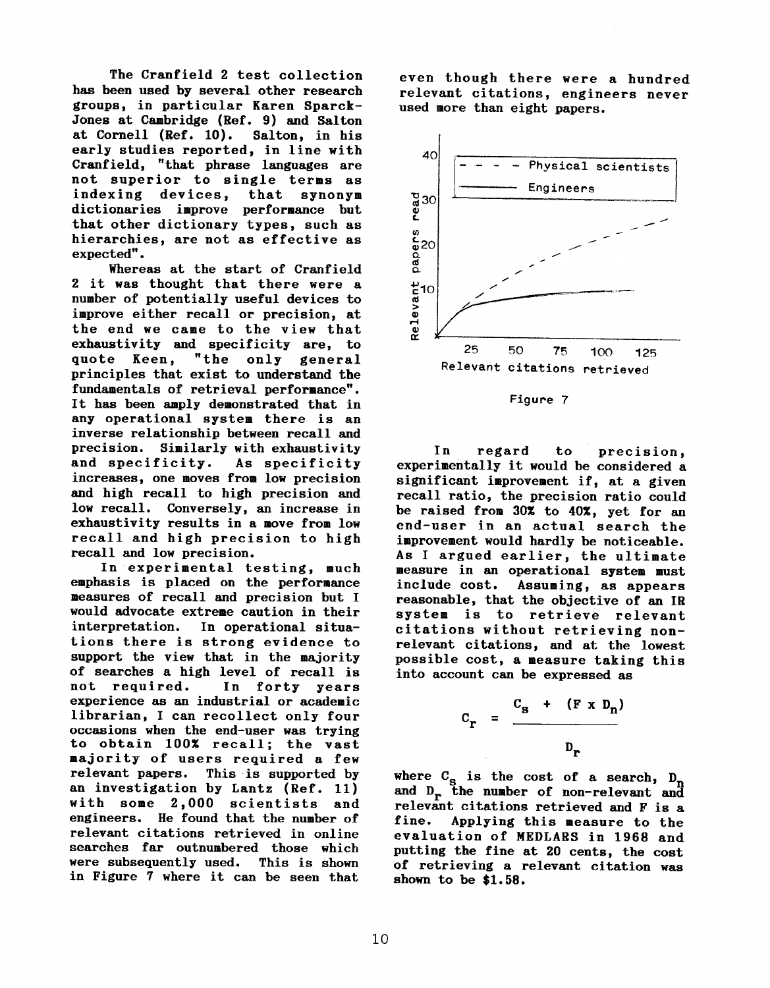The Cranfield 2 test collection has been used by several other research groups, in particular Karen Sparck-Jones at Cambridge (Ref. 9) and Salton<br>at Cornell (Ref. 10). Salton, in his early studies reported, in line with early studies reported, in line with Cranfield, that phrase languages are not superior to single terms as indexing devices, that synonym dictionaries improve performance but that other dictionary types, such as hierarchies, are not as effective as

expected".<br>Whereas at the start of Cranfield whereas at the start of Cranfi 2 it was thought that there were a number of potentially useful devices to improve either recall or precision, at the end we came to the view that exhaustivity and specificity are, to<br>quote Keen, "the only general quote keen, the only gene principles that exist to understand the fundamentals of retrieval performance". It has been amply demonstrated that in any operational system there is an inverse relationship between recall and precision. Similarly with exhaustivity<br>and specificity. As specificity and specificity. increases, one moves from low precision and high recall to high precision and low recall. Conversely, an increase in exhaustivity results in a move from low recall and high precision to high recall and low precision.

In experimental testing, much emphasis is placed on the performance measures of recall and precision but I would advocate extreme caution in their In operational situations there is strong evidence to support the view that in the majority of searches a high level of recall is<br>not required. In forty years not required. In forty years experience as an industrial or academic librarian, I can recollect only four occasions when the end-user was trying to obtain 100% recall; the vast majority of users required a few relevant papers. This is supported by an investigation by Lantz (Ref. 11) with some 2,000 scientists and engineers. He found that the number of relevant citations retrieved in online searches far outnumbered those which<br>were subsequently used. This is shown were subsequently used. in Figure 7 where it can be seen that

even though there were a hundred relevant citations, engineers never used more than eight papers.





In regard to precision, experimentally it would be considered a significant improvement if, at a given recall ratio, the precision ratio could be raised from 30% to 40%, yet for an end-user in an actual search the improvement would hardly be noticeable. As I argued earlier, the ultimate measure in an operational system must include cost. Assuming, as appears reasonable, that the objective of an IR system is to retrieve relevant citations without retrieving nonrelevant citations, and at the lowest possible cost, a measure taking this into account can be expressed as

$$
C_{r} = \frac{C_{s} + (F \times D_{n})}{D_{r}}
$$

where  $C_{\bf g}$  is the cost of a search, D and D<sub>r</sub> the number of non-relevant and relevant citations retrieved and F is a fine. Applying this measure to the evaluation of MEDLARS in 1968 and putting the fine at 20 cents, the cost of retrieving a relevant citation was shown to be \$1.58.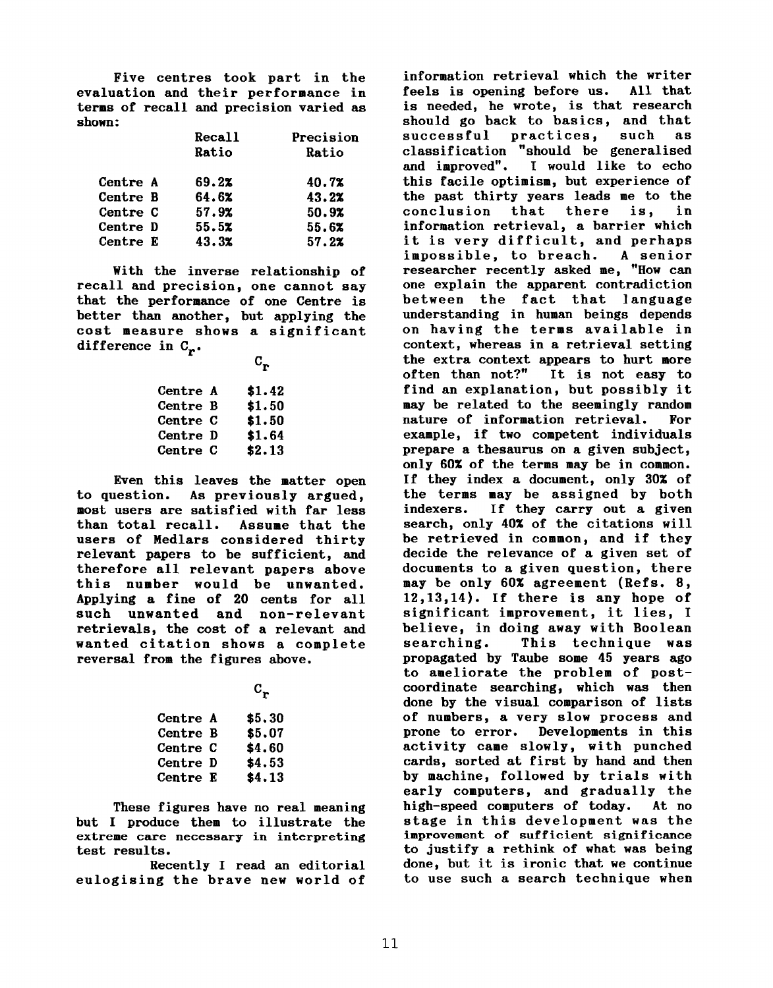Five centres took part in the evaluation and their performance in terms of recall and precision varied as shown :

|          | Recall | Precision |
|----------|--------|-----------|
|          | Ratio  | Ratio     |
| Centre A | 69.2%  | 40.7%     |
| Centre B | 64.6%  | 43.2%     |
| Centre C | 57.9%  | 50.9%     |
| Centre D | 55.5x  | 55.6x     |
| Centre E | 43.3x  | 57.22     |

With the inverse relationship of recall and precision, one cannot say that the performance of one Centre is better than another, but applying the cost measure shows a significant difference in  $C_n$ .

 $C_{\mathbf{r}}$ 

| <b>Centre A</b> | \$1.42 |
|-----------------|--------|
| <b>Centre B</b> | \$1.50 |
| <b>Centre C</b> | \$1.50 |
| Centre D        | \$1.64 |
| <b>Centre C</b> | \$2.13 |

Even this leaves the matter open to question. As previously argued, most users are satisfied with far less than total recall. Assume that the users of Medlars considered thirty relevant papers to be sufficient, and therefore all relevant papers above this number would be unwanted. Applying a fine of 20 cents for all such unwanted and non-relevant retrievals, the cost of a relevant and wanted citation shows a complete reversal from the figures above.

 $c_{\bf r}$ 

| <b>Centre A</b> | \$5,30 |
|-----------------|--------|
| Centre B        | \$5,07 |
| <b>Centre C</b> | \$4.60 |
| Centre D        | \$4.53 |
| Centre E        | \$4.13 |

These figures have no real meaning but I produce them to illustrate the extreme care necessary in interpreting test results.

Recently I read an editorial eulogizing the brave new world of

information retrieval which the writer feels is opening before us. All that is needed, he wrote, is that research should go back to basics, and that successful practices, such as classification "should be generalised and improved". I would like to echo this facile optimism, but experience of the past thirty years leads me to the conclusion that there is, in information retrieval, a barrier which it is very difficult, and perhaps impossible, to breach. A senior researcher recently asked me, "How can one explain the apparent contradiction between the fact that language understanding in human beings depends on having the terms available in context, whereas in a retrieval setting the extra context appears to hurt more<br>often than not?" It is not easy to It is not easy to find an explanation, but possibly it may be related to the seemingly random nature of information retrieval. For example, if two competent individuals prepare a thesaurus on a given subject, only 60% of the terms may be in common. If they index a document, only 30% of the terms may be assigned by both indexers. If they carry out a given search, only 40% of the citations will be retrieved in common, and if they decide the relevance of a given set of documents to a given question, there may be only 60% agreement (Refs. 8, 12,13,14). If there is any hope of significant improvement, it lies, I believe, in doing away with Boolean searching. This technique was propagated by Taube some 45 years ago to ameliorate the problem of postcoordinate searching, which was then done by the visual comparison of lists of numbers, a very slow process and prone to error. Developments in this activity came slowly, with punched cards, sorted at first by hand and then by machine, followed by trials with early computers, and gradually the high-speed computers of today. At no stage in this development was the improvement of sufficient significance to justify a rethink of what was being done, but it is ironic that we conti to use such a search technique whe